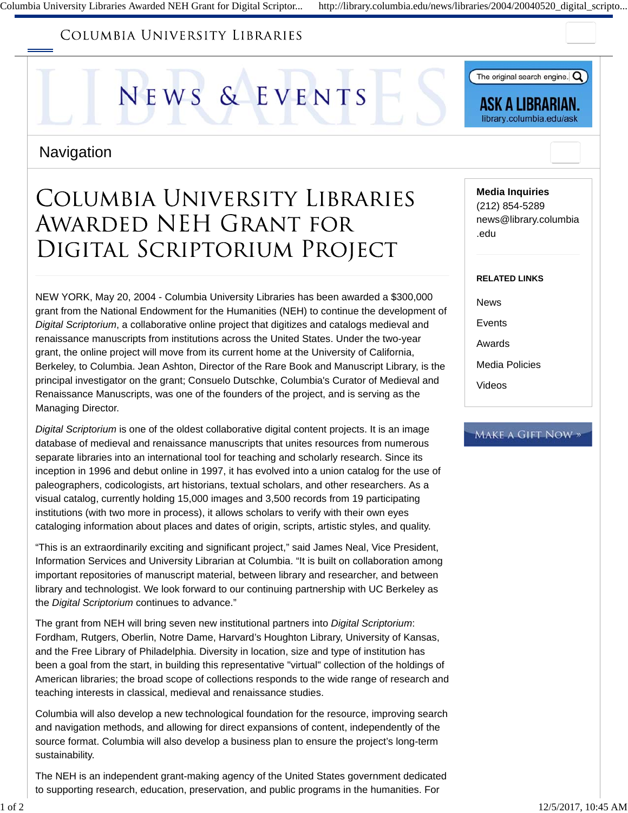## COLUMBIA UNIVERSITY LIBRARIES





ASK A LIBRARIAN. library.columbia.edu/ask

### **Navigation**

# **COLUMBIA UNIVERSITY LIBRARIES** AWARDED NEH GRANT FOR DIGITAL SCRIPTORIUM PROJECT

NEW YORK, May 20, 2004 - Columbia University Libraries has been awarded a \$300,000 grant from the National Endowment for the Humanities (NEH) to continue the development of *Digital Scriptorium*, a collaborative online project that digitizes and catalogs medieval and renaissance manuscripts from institutions across the United States. Under the two-year grant, the online project will move from its current home at the University of California, Berkeley, to Columbia. Jean Ashton, Director of the Rare Book and Manuscript Library, is the principal investigator on the grant; Consuelo Dutschke, Columbia's Curator of Medieval and Renaissance Manuscripts, was one of the founders of the project, and is serving as the Managing Director.

*Digital Scriptorium* is one of the oldest collaborative digital content projects. It is an image database of medieval and renaissance manuscripts that unites resources from numerous separate libraries into an international tool for teaching and scholarly research. Since its inception in 1996 and debut online in 1997, it has evolved into a union catalog for the use of paleographers, codicologists, art historians, textual scholars, and other researchers. As a visual catalog, currently holding 15,000 images and 3,500 records from 19 participating institutions (with two more in process), it allows scholars to verify with their own eyes cataloging information about places and dates of origin, scripts, artistic styles, and quality.

"This is an extraordinarily exciting and significant project," said James Neal, Vice President, Information Services and University Librarian at Columbia. "It is built on collaboration among important repositories of manuscript material, between library and researcher, and between library and technologist. We look forward to our continuing partnership with UC Berkeley as the *Digital Scriptorium* continues to advance."

The grant from NEH will bring seven new institutional partners into *Digital Scriptorium*: Fordham, Rutgers, Oberlin, Notre Dame, Harvard's Houghton Library, University of Kansas, and the Free Library of Philadelphia. Diversity in location, size and type of institution has been a goal from the start, in building this representative "virtual" collection of the holdings of American libraries; the broad scope of collections responds to the wide range of research and teaching interests in classical, medieval and renaissance studies.

Columbia will also develop a new technological foundation for the resource, improving search and navigation methods, and allowing for direct expansions of content, independently of the source format. Columbia will also develop a business plan to ensure the project's long-term sustainability.

The NEH is an independent grant-making agency of the United States government dedicated to supporting research, education, preservation, and public programs in the humanities. For

#### **Media Inquiries**

(212) 854-5289 news@library.columbia .edu

#### **RELATED LINKS**

News

Events

Awards

Media Policies

Videos

#### **MAKE A GIFT NOW »**